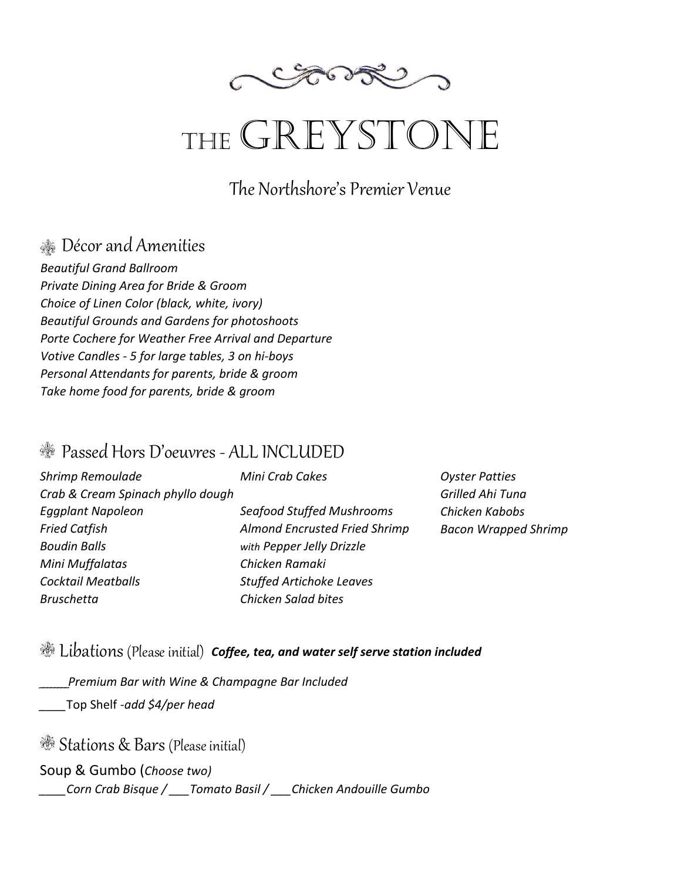

# THE GREYSTONE

The Northshore's Premier Venue

## Décor and Amenities

*Beautiful Grand Ballroom Private Dining Area for Bride & Groom Choice of Linen Color (black, white, ivory) Beautiful Grounds and Gardens for photoshoots Porte Cochere for Weather Free Arrival and Departure Votive Candles - 5 for large tables, 3 on hi-boys Personal Attendants for parents, bride & groom Take home food for parents, bride & groom*

### Passed Hors D'oeuvres - ALL INCLUDED

| Shrimp Remoulade                  | Mini Crab Cakes                  | Oyste  |
|-----------------------------------|----------------------------------|--------|
| Crab & Cream Spinach phyllo dough |                                  | Grille |
| Eggplant Napoleon                 | <b>Seafood Stuffed Mushrooms</b> | Chick  |
| <b>Fried Catfish</b>              | Almond Encrusted Fried Shrimp    | Bacor  |
| <b>Boudin Balls</b>               | with Pepper Jelly Drizzle        |        |
| Mini Muffalatas                   | Chicken Ramaki                   |        |
| <b>Cocktail Meatballs</b>         | <b>Stuffed Artichoke Leaves</b>  |        |
| <b>Bruschetta</b>                 | Chicken Salad bites              |        |

*Oyster Patties Grilled Ahi Tuna Chicken Kabobs Bacon Wrapped Shrimp* 

# Libations (Please initial) *Coffee, tea, and water self serve station included*

\_\_\_\_\_\_\_\_*Premium Bar with Wine & Champagne Bar Included*

*\_\_\_\_*Top Shelf -*add \$4ͬper head*

Stations & Bars (Please initial)

### Soup & Gumbo (*Choose two)*

*\_\_\_\_Corn Crab Bisque / \_\_\_Tomato Basil / \_\_\_Chicken Andouille Gumbo*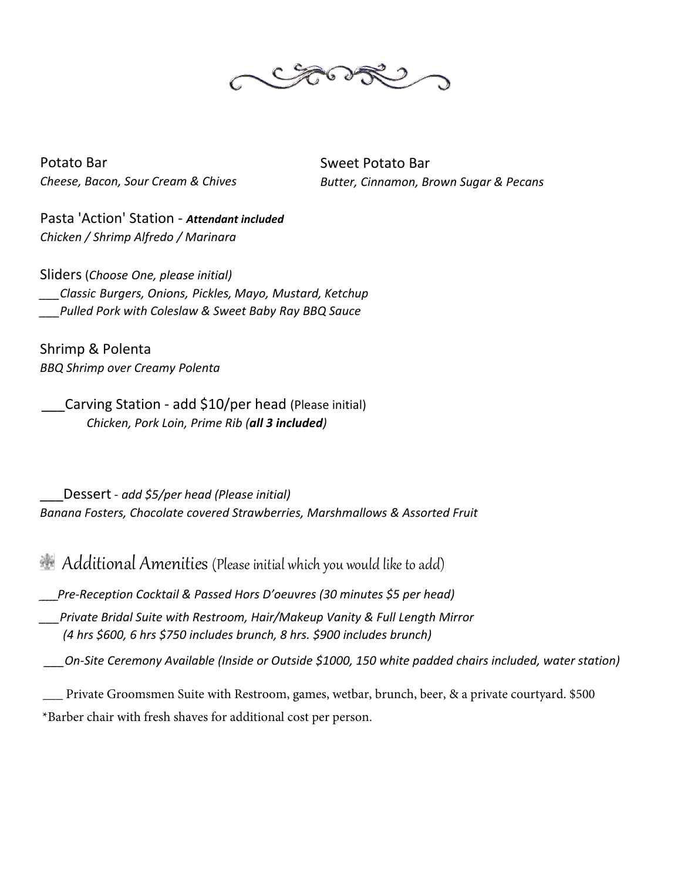

Potato Bar Cheese, Bacon, Sour Cream & Chives **Sweet Potato Bar** Butter, Cinnamon, Brown Sugar & Pecans

Pasta 'Action' Station - Attendant included Chicken / Shrimp Alfredo / Marinara

Sliders (Choose One, please initial) Classic Burgers, Onions, Pickles, Mayo, Mustard, Ketchup Pulled Pork with Coleslaw & Sweet Baby Ray BBQ Sauce

Shrimp & Polenta **BBQ Shrimp over Creamy Polenta** 

Carving Station - add \$10/per head (Please initial) Chicken, Pork Loin, Prime Rib (all 3 included)

Dessert - add \$5/per head (Please initial) Banana Fosters, Chocolate covered Strawberries, Marshmallows & Assorted Fruit

Additional Amenities (Please initial which you would like to add)

Pre-Reception Cocktail & Passed Hors D'oeuvres (30 minutes \$5 per head)

Private Bridal Suite with Restroom, Hair/Makeup Vanity & Full Length Mirror (4 hrs \$600, 6 hrs \$750 includes brunch, 8 hrs. \$900 includes brunch)

On-Site Ceremony Available (Inside or Outside \$1000, 150 white padded chairs included, water station)

Private Groomsmen Suite with Restroom, games, wetbar, brunch, beer, & a private courtyard. \$500 \*Barber chair with fresh shaves for additional cost per person.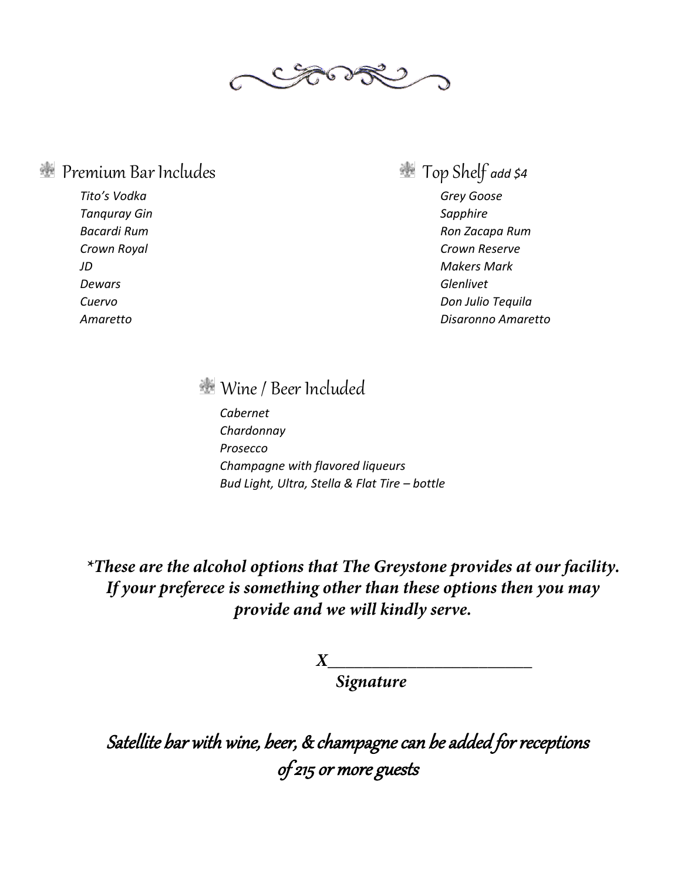

### Premium Bar Includes Top Shelf *add \$4*

*Tito's Vodka Grey Goose*  **Tanquray Gin** Sapphire **Sapphire Sapphire Sapphire Sapphire** *Dewars Glenlivet* 

*Bacardi Rum Ron Zacapa Rum Crown Royal Crown Reserve JD Makers Mark Cuervo Don Julio Tequila Amaretto Disaronno Amaretto* 

Wine / Beer Included

*Cabernet Chardonnay Prosecco Champagne with flavored liqueurs Bud Light, Ultra, Stella & Flat Tire – bottle*

\*These are the alcohol options that The Greystone provides at our facility. If your preferece is something other than these options then you may provide and we will kindly serve.

> **8 Signature**

Satellite bar with wine, beer, & champagne can be added for receptions of 215 or more guests